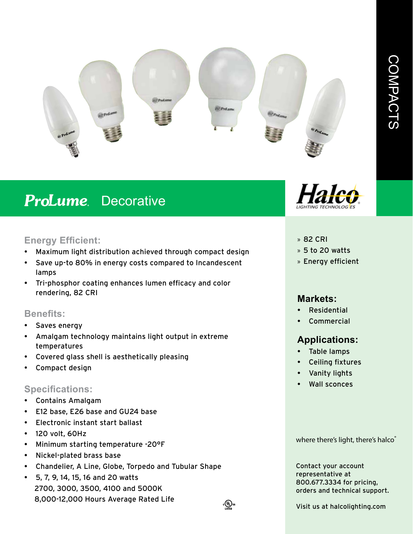

# **ProLume** Decorative

## **Energy Efficient:**

- Maximum light distribution achieved through compact design
- Save up-to 80% in energy costs compared to Incandescent lamps
- Tri-phosphor coating enhances lumen efficacy and color rendering, 82 CRI

## **Benefits:**

- Saves energy
- Amalgam technology maintains light output in extreme temperatures
- Covered glass shell is aesthetically pleasing
- Compact design

## **Specifications:**

- Contains Amalgam
- E12 base, E26 base and GU24 base
- Electronic instant start ballast
- 120 volt, 60Hz
- Minimum starting temperature -20°F
- Nickel-plated brass base
- Chandelier, A Line, Globe, Torpedo and Tubular Shape
- 5, 7, 9, 14, 15, 16 and 20 watts 2700, 3000, 3500, 4100 and 5000K 8,000-12,000 Hours Average Rated Life



#### » 82 CRI

- » 5 to 20 watts
- » Energy efficient

## **Markets:**

- Residential
- **Commercial**

# **Applications:**

- Table lamps
- Ceiling fixtures
- Vanity lights
- Wall sconces

where there's light, there's halco®

Contact your account representative at 800.677.3334 for pricing, orders and technical support.

Visit us at halcolighting.com

։@ա